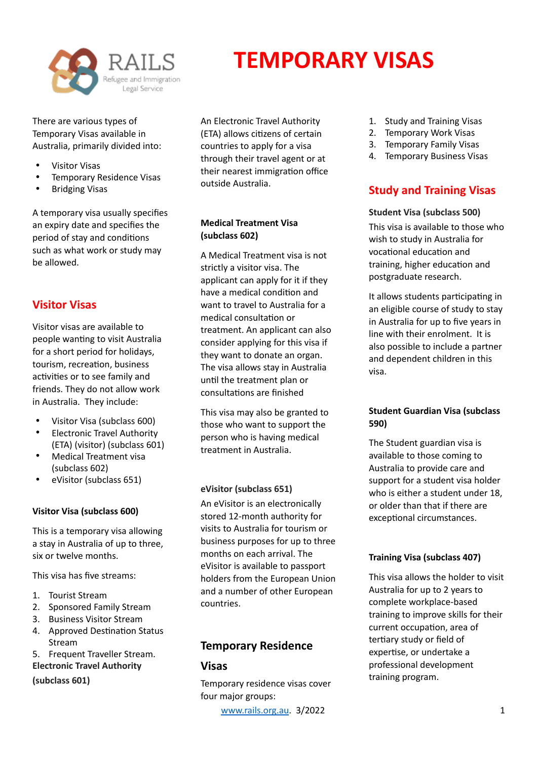

There are various types of Temporary Visas available in Australia, primarily divided into:

- Visitor Visas
- Temporary Residence Visas
- Bridging Visas

A temporary visa usually specifies an expiry date and specifies the period of stay and conditions such as what work or study may be allowed.

## **Visitor Visas**

Visitor visas are available to people wanting to visit Australia for a short period for holidays, tourism, recreation, business activities or to see family and friends. They do not allow work in Australia. They include:

- Visitor Visa (subclass 600)
- Electronic Travel Authority (ETA) (visitor) (subclass 601)
- Medical Treatment visa (subclass 602)
- eVisitor (subclass 651)

## **Visitor Visa (subclass 600)**

This is a temporary visa allowing a stay in Australia of up to three, six or twelve months.

This visa has five streams:

- 1. Tourist Stream
- 2. Sponsored Family Stream
- 3. Business Visitor Stream
- 4. Approved Destination Status Stream
- 5. Frequent Traveller Stream.

**Electronic Travel Authority** 

**(subclass 601)** 

An Electronic Travel Authority (ETA) allows citizens of certain countries to apply for a visa through their travel agent or at their nearest immigration office outside Australia.

**TEMPORARY VISAS**

## **Medical Treatment Visa (subclass 602)**

A Medical Treatment visa is not strictly a visitor visa. The applicant can apply for it if they have a medical condition and want to travel to Australia for a medical consultation or treatment. An applicant can also consider applying for this visa if they want to donate an organ. The visa allows stay in Australia until the treatment plan or consultations are finished

This visa may also be granted to those who want to support the person who is having medical treatment in Australia.

## **eVisitor (subclass 651)**

An eVisitor is an electronically stored 12-month authority for visits to Australia for tourism or business purposes for up to three months on each arrival. The eVisitor is available to passport holders from the European Union and a number of other European countries.

## **Temporary Residence**

## **Visas**

Temporary residence visas cover four major groups:

[www.rails.org.au](http://www.rails.org.au). 3/2022 1

- 1. Study and Training Visas
- 2. Temporary Work Visas
- 3. Temporary Family Visas
- 4. Temporary Business Visas

## **Study and Training Visas**

## **Student Visa (subclass 500)**

This visa is available to those who wish to study in Australia for vocational education and training, higher education and postgraduate research.

It allows students participating in an eligible course of study to stay in Australia for up to five years in line with their enrolment. It is also possible to include a partner and dependent children in this visa.

#### **Student Guardian Visa (subclass 590)**

The Student guardian visa is available to those coming to Australia to provide care and support for a student visa holder who is either a student under 18, or older than that if there are exceptional circumstances.

#### **Training Visa (subclass 407)**

This visa allows the holder to visit Australia for up to 2 years to complete workplace-based training to improve skills for their current occupation, area of tertiary study or field of expertise, or undertake a professional development training program.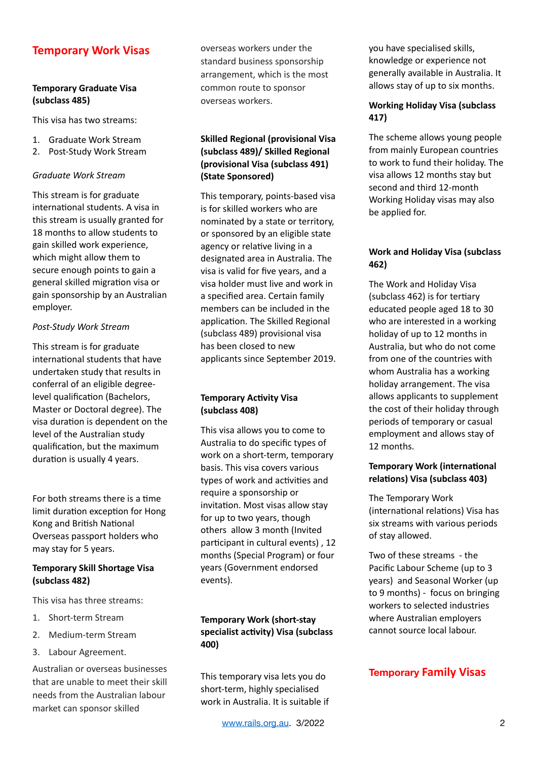## **Temporary Work Visas**

## **Temporary Graduate Visa (subclass 485)**

This visa has two streams:

- 1. Graduate Work Stream
- 2. Post-Study Work Stream

#### *Graduate Work Stream*

This stream is for graduate international students. A visa in this stream is usually granted for 18 months to allow students to gain skilled work experience, which might allow them to secure enough points to gain a general skilled migration visa or gain sponsorship by an Australian employer.

#### *Post-Study Work Stream*

This stream is for graduate international students that have undertaken study that results in conferral of an eligible degreelevel qualification (Bachelors, Master or Doctoral degree). The visa duration is dependent on the level of the Australian study qualification, but the maximum duration is usually 4 years.

For both streams there is a time limit duration exception for Hong Kong and British National Overseas passport holders who may stay for 5 years.

#### **Temporary Skill Shortage Visa (subclass 482)**

This visa has three streams:

- 1. Short-term Stream
- 2. Medium-term Stream
- 3. Labour Agreement.

Australian or overseas businesses that are unable to meet their skill needs from the Australian labour market can sponsor skilled

overseas workers under the standard business sponsorship arrangement, which is the most common route to sponsor overseas workers.

## **Skilled Regional (provisional Visa (subclass 489)/ Skilled Regional (provisional Visa (subclass 491) (State Sponsored)**

This temporary, points-based visa is for skilled workers who are nominated by a state or territory, or sponsored by an eligible state agency or relative living in a designated area in Australia. The visa is valid for five years, and a visa holder must live and work in a specified area. Certain family members can be included in the application. The Skilled Regional (subclass 489) provisional visa has been closed to new applicants since September 2019.

## **Temporary Activity Visa (subclass 408)**

This visa allows you to come to Australia to do specific types of work on a short-term, temporary basis. This visa covers various types of work and activities and require a sponsorship or invitation. Most visas allow stay for up to two years, though others allow 3 month (Invited participant in cultural events), 12 months (Special Program) or four years (Government endorsed events).

## **Temporary Work (short-stay**  specialist activity) Visa (subclass **400)**

This temporary visa lets you do short-term, highly specialised work in Australia. It is suitable if you have specialised skills, knowledge or experience not generally available in Australia. It allows stay of up to six months.

## **Working Holiday Visa (subclass 417)**

The scheme allows young people from mainly European countries to work to fund their holiday. The visa allows 12 months stay but second and third 12-month Working Holiday visas may also be applied for.

#### **Work and Holiday Visa (subclass 462)**

The Work and Holiday Visa (subclass  $462$ ) is for tertiary educated people aged 18 to 30 who are interested in a working holiday of up to 12 months in Australia, but who do not come from one of the countries with whom Australia has a working holiday arrangement. The visa allows applicants to supplement the cost of their holiday through periods of temporary or casual employment and allows stay of 12 months.

## **Temporary Work (international** relations) Visa (subclass 403)

The Temporary Work (international relations) Visa has six streams with various periods of stay allowed.

Two of these streams - the Pacific Labour Scheme (up to 3 years) and Seasonal Worker (up to 9 months) - focus on bringing workers to selected industries where Australian employers cannot source local labour.

## **Temporary Family Visas**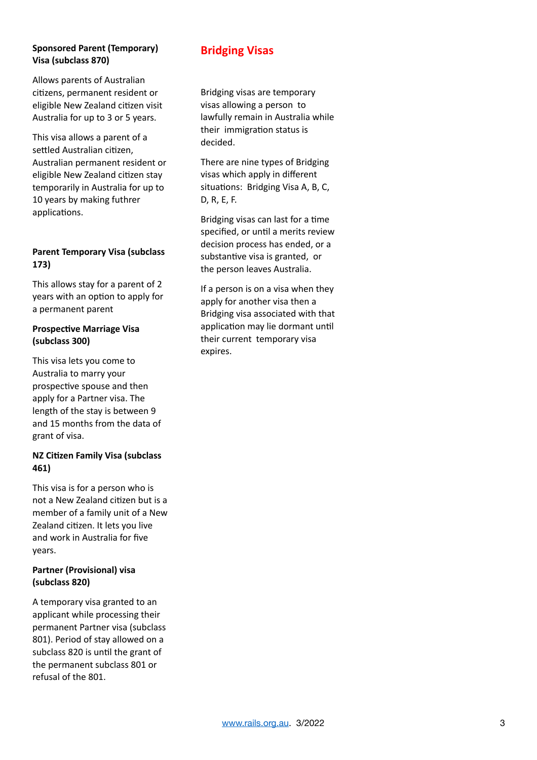#### **Sponsored Parent (Temporary) Visa (subclass 870)**

Allows parents of Australian citizens, permanent resident or eligible New Zealand citizen visit Australia for up to 3 or 5 years.

This visa allows a parent of a settled Australian citizen. Australian permanent resident or eligible New Zealand citizen stay temporarily in Australia for up to 10 years by making futhrer applications.

## **Parent Temporary Visa (subclass 173)**

This allows stay for a parent of 2 years with an option to apply for a permanent parent

## **Prospective Marriage Visa (subclass 300)**

This visa lets you come to Australia to marry your prospective spouse and then apply for a Partner visa. The length of the stay is between 9 and 15 months from the data of grant of visa.

## **NZ Citizen Family Visa (subclass 461)**

This visa is for a person who is not a New Zealand citizen but is a member of a family unit of a New Zealand citizen. It lets you live and work in Australia for five years.

## **Partner (Provisional) visa (subclass 820)**

A temporary visa granted to an applicant while processing their permanent Partner visa (subclass 801). Period of stay allowed on a subclass 820 is until the grant of the permanent subclass 801 or refusal of the 801.

# **Bridging Visas**

Bridging visas are temporary visas allowing a person to lawfully remain in Australia while their immigration status is decided.

There are nine types of Bridging visas which apply in different situations: Bridging Visa A, B, C, D, R, E, F.

Bridging visas can last for a time specified, or until a merits review decision process has ended, or a substantive visa is granted, or the person leaves Australia.

If a person is on a visa when they apply for another visa then a Bridging visa associated with that application may lie dormant until their current temporary visa expires.